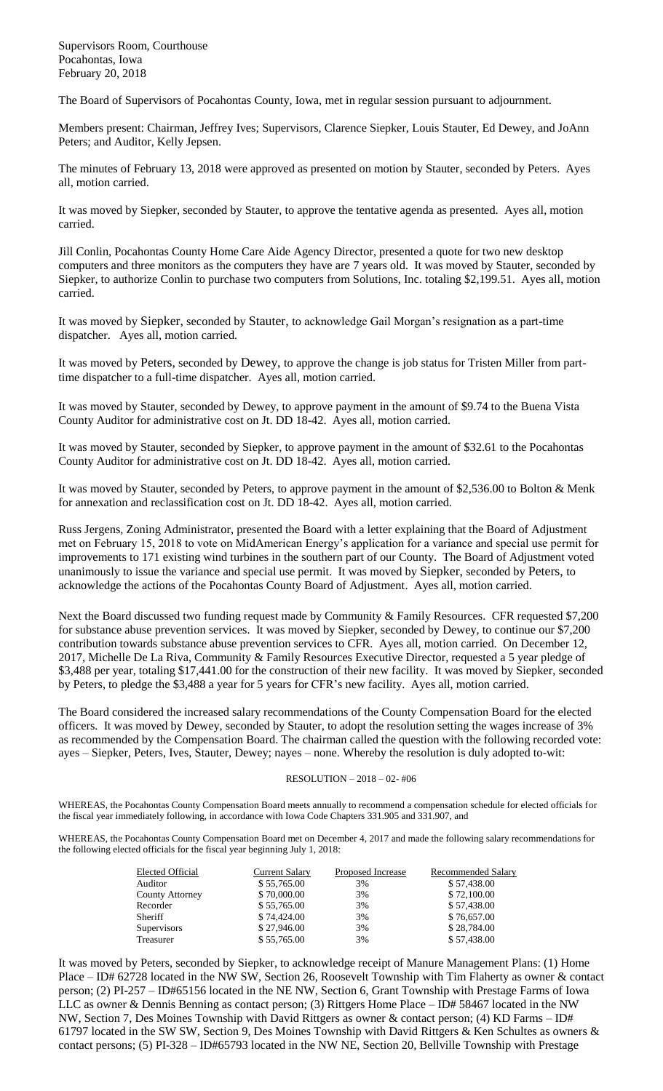Supervisors Room, Courthouse Pocahontas, Iowa February 20, 2018

The Board of Supervisors of Pocahontas County, Iowa, met in regular session pursuant to adjournment.

Members present: Chairman, Jeffrey Ives; Supervisors, Clarence Siepker, Louis Stauter, Ed Dewey, and JoAnn Peters; and Auditor, Kelly Jepsen.

The minutes of February 13, 2018 were approved as presented on motion by Stauter, seconded by Peters. Ayes all, motion carried.

It was moved by Siepker, seconded by Stauter, to approve the tentative agenda as presented. Ayes all, motion carried.

Jill Conlin, Pocahontas County Home Care Aide Agency Director, presented a quote for two new desktop computers and three monitors as the computers they have are 7 years old. It was moved by Stauter, seconded by Siepker, to authorize Conlin to purchase two computers from Solutions, Inc. totaling \$2,199.51. Ayes all, motion carried.

It was moved by Siepker, seconded by Stauter, to acknowledge Gail Morgan's resignation as a part-time dispatcher. Ayes all, motion carried.

It was moved by Peters, seconded by Dewey, to approve the change is job status for Tristen Miller from parttime dispatcher to a full-time dispatcher. Ayes all, motion carried.

It was moved by Stauter, seconded by Dewey, to approve payment in the amount of \$9.74 to the Buena Vista County Auditor for administrative cost on Jt. DD 18-42. Ayes all, motion carried.

It was moved by Stauter, seconded by Siepker, to approve payment in the amount of \$32.61 to the Pocahontas County Auditor for administrative cost on Jt. DD 18-42. Ayes all, motion carried.

It was moved by Stauter, seconded by Peters, to approve payment in the amount of \$2,536.00 to Bolton & Menk for annexation and reclassification cost on Jt. DD 18-42. Ayes all, motion carried.

Russ Jergens, Zoning Administrator, presented the Board with a letter explaining that the Board of Adjustment met on February 15, 2018 to vote on MidAmerican Energy's application for a variance and special use permit for improvements to 171 existing wind turbines in the southern part of our County. The Board of Adjustment voted unanimously to issue the variance and special use permit. It was moved by Siepker, seconded by Peters, to acknowledge the actions of the Pocahontas County Board of Adjustment. Ayes all, motion carried.

Next the Board discussed two funding request made by Community & Family Resources. CFR requested \$7,200 for substance abuse prevention services. It was moved by Siepker, seconded by Dewey, to continue our \$7,200 contribution towards substance abuse prevention services to CFR. Ayes all, motion carried. On December 12, 2017, Michelle De La Riva, Community & Family Resources Executive Director, requested a 5 year pledge of \$3,488 per year, totaling \$17,441.00 for the construction of their new facility. It was moved by Siepker, seconded by Peters, to pledge the \$3,488 a year for 5 years for CFR's new facility. Ayes all, motion carried.

The Board considered the increased salary recommendations of the County Compensation Board for the elected officers. It was moved by Dewey, seconded by Stauter, to adopt the resolution setting the wages increase of 3% as recommended by the Compensation Board. The chairman called the question with the following recorded vote: ayes – Siepker, Peters, Ives, Stauter, Dewey; nayes – none. Whereby the resolution is duly adopted to-wit:

## RESOLUTION – 2018 – 02- #06

WHEREAS, the Pocahontas County Compensation Board meets annually to recommend a compensation schedule for elected officials for the fiscal year immediately following, in accordance with Iowa Code Chapters 331.905 and 331.907, and

WHEREAS, the Pocahontas County Compensation Board met on December 4, 2017 and made the following salary recommendations for the following elected officials for the fiscal year beginning July 1, 2018:

| Elected Official   | Current Salary | Proposed Increase | Recommended Salary |
|--------------------|----------------|-------------------|--------------------|
| Auditor            | \$55,765.00    | 3%                | \$57,438.00        |
| County Attorney    | \$70,000.00    | 3%                | \$72,100.00        |
| Recorder           | \$55,765.00    | 3%                | \$57,438.00        |
| <b>Sheriff</b>     | \$74,424.00    | 3%                | \$76,657.00        |
| <b>Supervisors</b> | \$27,946.00    | 3%                | \$28,784.00        |
| Treasurer          | \$55,765.00    | 3%                | \$57,438.00        |

It was moved by Peters, seconded by Siepker, to acknowledge receipt of Manure Management Plans: (1) Home Place – ID# 62728 located in the NW SW, Section 26, Roosevelt Township with Tim Flaherty as owner & contact person; (2) PI-257 – ID#65156 located in the NE NW, Section 6, Grant Township with Prestage Farms of Iowa LLC as owner & Dennis Benning as contact person; (3) Rittgers Home Place – ID# 58467 located in the NW NW, Section 7, Des Moines Township with David Rittgers as owner & contact person; (4) KD Farms – ID# 61797 located in the SW SW, Section 9, Des Moines Township with David Rittgers & Ken Schultes as owners & contact persons; (5) PI-328 – ID#65793 located in the NW NE, Section 20, Bellville Township with Prestage